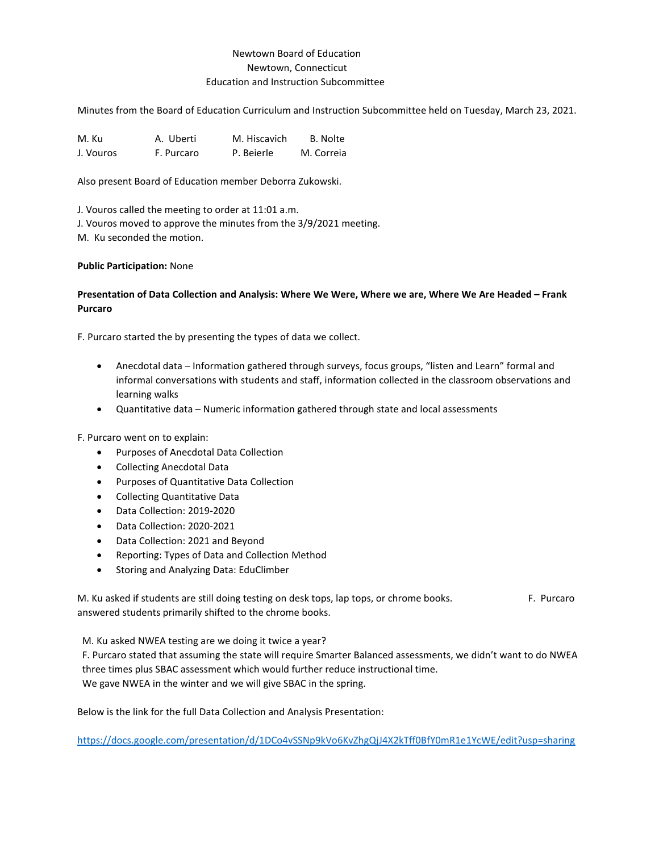# Newtown Board of Education Newtown, Connecticut Education and Instruction Subcommittee

Minutes from the Board of Education Curriculum and Instruction Subcommittee held on Tuesday, March 23, 2021.

M. Ku  $\overline{A}$ . Uberti M. Hiscavich B. Nolte J. Vouros F. Purcaro P. Beierle M. Correia

Also present Board of Education member Deborra Zukowski.

J. Vouros called the meeting to order at 11:01 a.m.

J. Vouros moved to approve the minutes from the 3/9/2021 meeting.

M. Ku seconded the motion.

### **Public Participation:** None

## **Presentation of Data Collection and Analysis: Where We Were, Where we are, Where We Are Headed – Frank Purcaro**

F. Purcaro started the by presenting the types of data we collect.

- Anecdotal data Information gathered through surveys, focus groups, "listen and Learn" formal and informal conversations with students and staff, information collected in the classroom observations and learning walks
- Quantitative data Numeric information gathered through state and local assessments

F. Purcaro went on to explain:

- Purposes of Anecdotal Data Collection
- Collecting Anecdotal Data
- Purposes of Quantitative Data Collection
- Collecting Quantitative Data
- Data Collection: 2019-2020
- Data Collection: 2020-2021
- Data Collection: 2021 and Beyond
- Reporting: Types of Data and Collection Method
- Storing and Analyzing Data: EduClimber

M. Ku asked if students are still doing testing on desk tops, lap tops, or chrome books. F. Purcaro answered students primarily shifted to the chrome books.

M. Ku asked NWEA testing are we doing it twice a year?

F. Purcaro stated that assuming the state will require Smarter Balanced assessments, we didn't want to do NWEA three times plus SBAC assessment which would further reduce instructional time. We gave NWEA in the winter and we will give SBAC in the spring.

Below is the link for the full Data Collection and Analysis Presentation:

<https://docs.google.com/presentation/d/1DCo4vSSNp9kVo6KvZhgQjJ4X2kTff0BfY0mR1e1YcWE/edit?usp=sharing>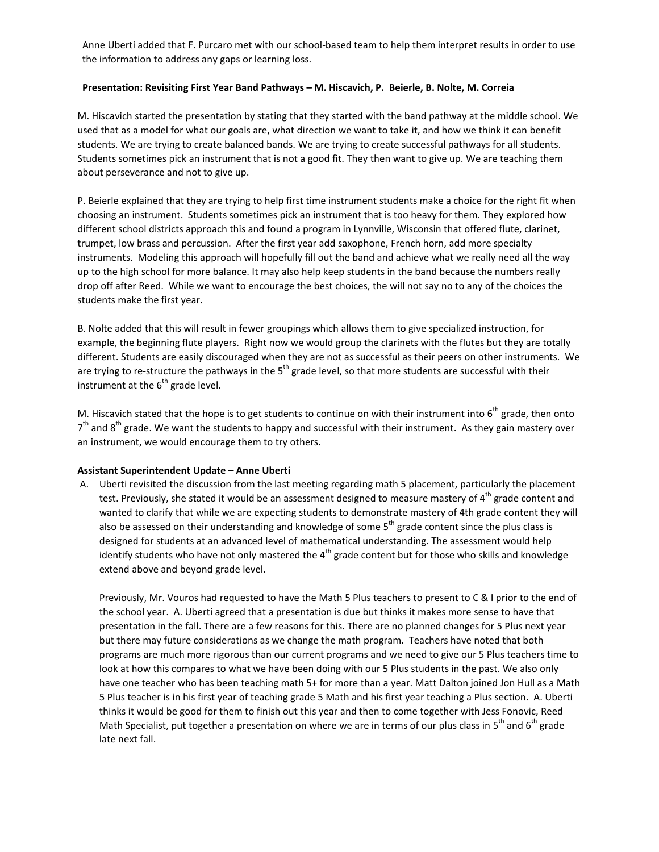Anne Uberti added that F. Purcaro met with our school-based team to help them interpret results in order to use the information to address any gaps or learning loss.

## **Presentation: Revisiting First Year Band Pathways – M. Hiscavich, P. Beierle, B. Nolte, M. Correia**

M. Hiscavich started the presentation by stating that they started with the band pathway at the middle school. We used that as a model for what our goals are, what direction we want to take it, and how we think it can benefit students. We are trying to create balanced bands. We are trying to create successful pathways for all students. Students sometimes pick an instrument that is not a good fit. They then want to give up. We are teaching them about perseverance and not to give up.

P. Beierle explained that they are trying to help first time instrument students make a choice for the right fit when choosing an instrument. Students sometimes pick an instrument that is too heavy for them. They explored how different school districts approach this and found a program in Lynnville, Wisconsin that offered flute, clarinet, trumpet, low brass and percussion. After the first year add saxophone, French horn, add more specialty instruments. Modeling this approach will hopefully fill out the band and achieve what we really need all the way up to the high school for more balance. It may also help keep students in the band because the numbers really drop off after Reed. While we want to encourage the best choices, the will not say no to any of the choices the students make the first year.

B. Nolte added that this will result in fewer groupings which allows them to give specialized instruction, for example, the beginning flute players. Right now we would group the clarinets with the flutes but they are totally different. Students are easily discouraged when they are not as successful as their peers on other instruments. We are trying to re-structure the pathways in the  $5<sup>th</sup>$  grade level, so that more students are successful with their instrument at the  $6<sup>th</sup>$  grade level.

M. Hiscavich stated that the hope is to get students to continue on with their instrument into  $6<sup>th</sup>$  grade, then onto  $7<sup>th</sup>$  and 8<sup>th</sup> grade. We want the students to happy and successful with their instrument. As they gain mastery over an instrument, we would encourage them to try others.

#### **Assistant Superintendent Update – Anne Uberti**

A. Uberti revisited the discussion from the last meeting regarding math 5 placement, particularly the placement test. Previously, she stated it would be an assessment designed to measure mastery of  $4<sup>th</sup>$  grade content and wanted to clarify that while we are expecting students to demonstrate mastery of 4th grade content they will also be assessed on their understanding and knowledge of some  $5<sup>th</sup>$  grade content since the plus class is designed for students at an advanced level of mathematical understanding. The assessment would help identify students who have not only mastered the  $4<sup>th</sup>$  grade content but for those who skills and knowledge extend above and beyond grade level.

Previously, Mr. Vouros had requested to have the Math 5 Plus teachers to present to C & I prior to the end of the school year. A. Uberti agreed that a presentation is due but thinks it makes more sense to have that presentation in the fall. There are a few reasons for this. There are no planned changes for 5 Plus next year but there may future considerations as we change the math program. Teachers have noted that both programs are much more rigorous than our current programs and we need to give our 5 Plus teachers time to look at how this compares to what we have been doing with our 5 Plus students in the past. We also only have one teacher who has been teaching math 5+ for more than a year. Matt Dalton joined Jon Hull as a Math 5 Plus teacher is in his first year of teaching grade 5 Math and his first year teaching a Plus section. A. Uberti thinks it would be good for them to finish out this year and then to come together with Jess Fonovic, Reed Math Specialist, put together a presentation on where we are in terms of our plus class in  $5<sup>th</sup>$  and  $6<sup>th</sup>$  grade late next fall.